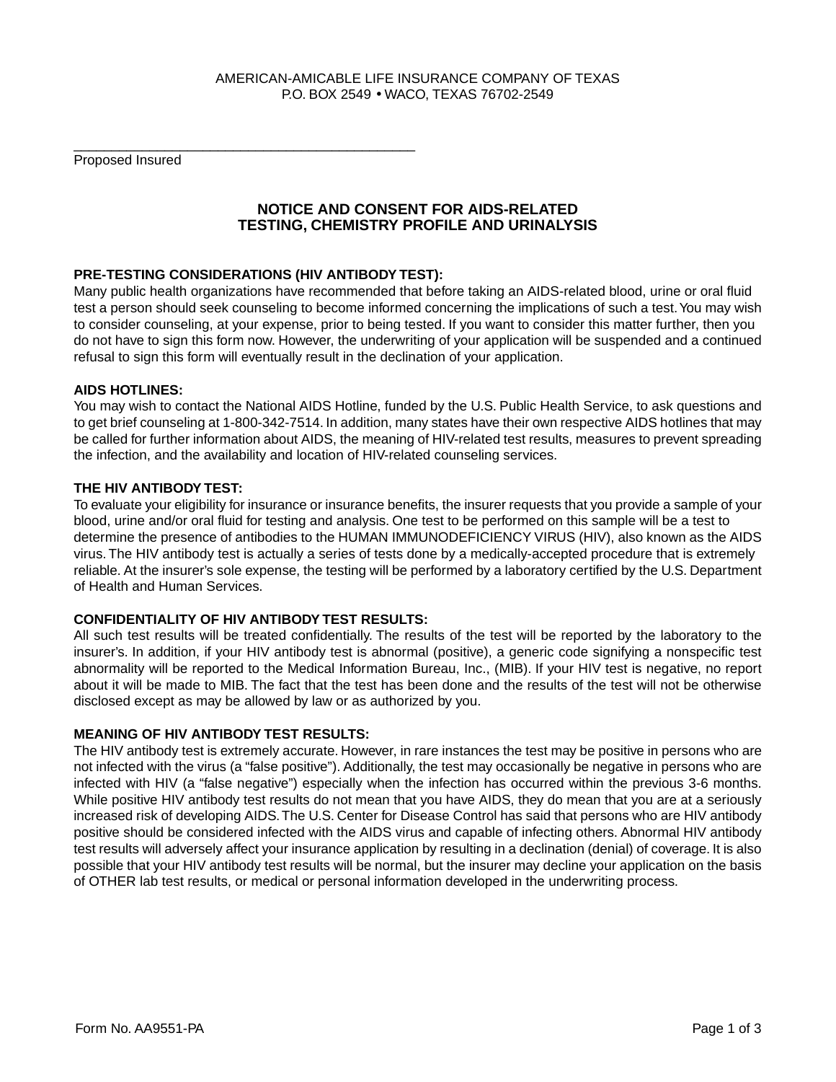## AMERICAN-AMICABLE LIFE INSURANCE COMPANY OF TEXAS P.O. BOX 2549 • WACO, TEXAS 76702-2549

Proposed Insured

# **NOTICE AND CONSENT FOR AIDS-RELATED TESTING, CHEMISTRY PROFILE AND URINALYSIS**

## **PRE-TESTING CONSIDERATIONS (HIV ANTIBODY TEST):**

\_\_\_\_\_\_\_\_\_\_\_\_\_\_\_\_\_\_\_\_\_\_\_\_\_\_\_\_\_\_\_\_\_\_\_\_\_\_\_\_\_\_\_\_\_

Many public health organizations have recommended that before taking an AIDS-related blood, urine or oral fluid test a person should seek counseling to become informed concerning the implications of such a test. You may wish to consider counseling, at your expense, prior to being tested. If you want to consider this matter further, then you do not have to sign this form now. However, the underwriting of your application will be suspended and a continued refusal to sign this form will eventually result in the declination of your application.

#### **AIDS HOTLINES:**

You may wish to contact the National AIDS Hotline, funded by the U.S. Public Health Service, to ask questions and to get brief counseling at 1-800-342-7514. In addition, many states have their own respective AIDS hotlines that may be called for further information about AIDS, the meaning of HIV-related test results, measures to prevent spreading the infection, and the availability and location of HIV-related counseling services.

#### **THE HIV ANTIBODY TEST:**

To evaluate your eligibility for insurance or insurance benefits, the insurer requests that you provide a sample of your blood, urine and/or oral fluid for testing and analysis. One test to be performed on this sample will be a test to determine the presence of antibodies to the HUMAN IMMUNODEFICIENCY VIRUS (HIV), also known as the AIDS virus. The HIV antibody test is actually a series of tests done by a medically-accepted procedure that is extremely reliable. At the insurer's sole expense, the testing will be performed by a laboratory certified by the U.S. Department of Health and Human Services.

## **CONFIDENTIALITY OF HIV ANTIBODY TEST RESULTS:**

All such test results will be treated confidentially. The results of the test will be reported by the laboratory to the insurer's. In addition, if your HIV antibody test is abnormal (positive), a generic code signifying a nonspecific test abnormality will be reported to the Medical Information Bureau, Inc., (MIB). If your HIV test is negative, no report about it will be made to MIB. The fact that the test has been done and the results of the test will not be otherwise disclosed except as may be allowed by law or as authorized by you.

#### **MEANING OF HIV ANTIBODY TEST RESULTS:**

The HIV antibody test is extremely accurate. However, in rare instances the test may be positive in persons who are not infected with the virus (a "false positive"). Additionally, the test may occasionally be negative in persons who are infected with HIV (a "false negative") especially when the infection has occurred within the previous 3-6 months. While positive HIV antibody test results do not mean that you have AIDS, they do mean that you are at a seriously increased risk of developing AIDS. The U.S. Center for Disease Control has said that persons who are HIV antibody positive should be considered infected with the AIDS virus and capable of infecting others. Abnormal HIV antibody test results will adversely affect your insurance application by resulting in a declination (denial) of coverage. It is also possible that your HIV antibody test results will be normal, but the insurer may decline your application on the basis of OTHER lab test results, or medical or personal information developed in the underwriting process.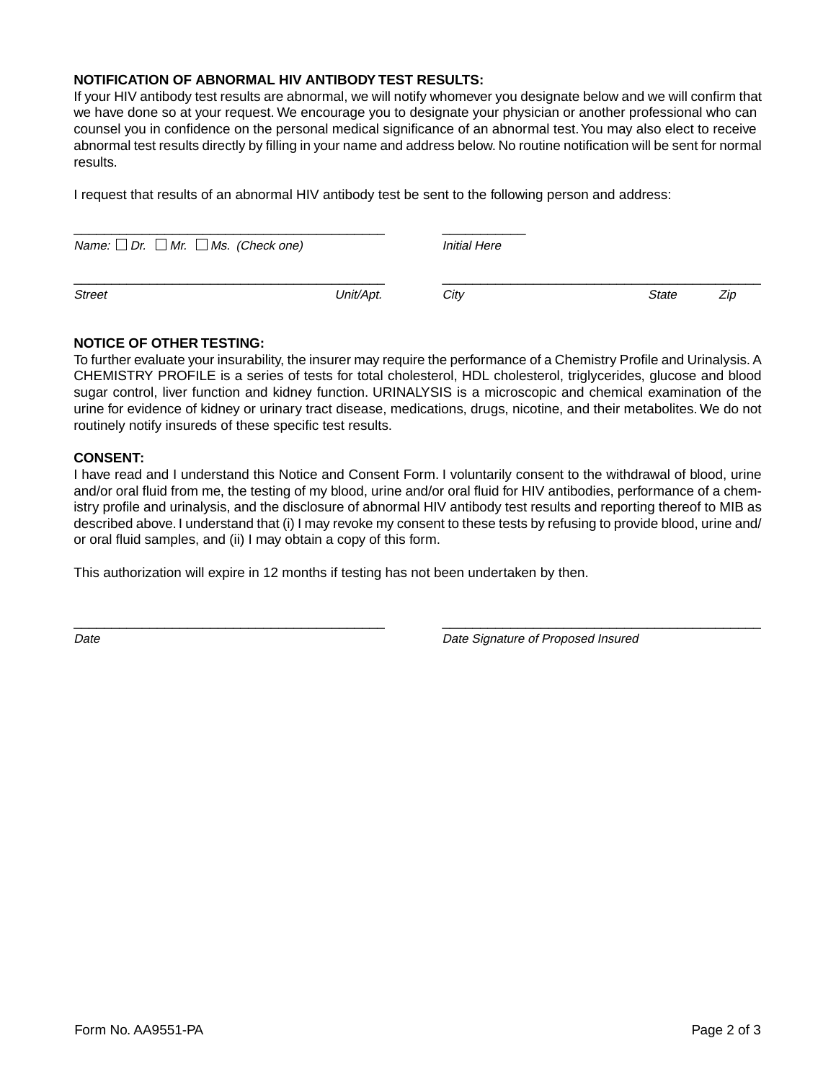#### **NOTIFICATION OF ABNORMAL HIV ANTIBODY TEST RESULTS:**

If your HIV antibody test results are abnormal, we will notify whomever you designate below and we will confirm that we have done so at your request. We encourage you to designate your physician or another professional who can counsel you in confidence on the personal medical significance of an abnormal test. You may also elect to receive abnormal test results directly by filling in your name and address below. No routine notification will be sent for normal results.

I request that results of an abnormal HIV antibody test be sent to the following person and address:

| Name: $\Box$ Dr. $\Box$ Mr. $\Box$ Ms. (Check one) |           | <b>Initial Here</b> |       |     |
|----------------------------------------------------|-----------|---------------------|-------|-----|
| <b>Street</b>                                      | Unit/Apt. | City                | State | Zip |

## **NOTICE OF OTHER TESTING:**

To further evaluate your insurability, the insurer may require the performance of a Chemistry Profile and Urinalysis. A CHEMISTRY PROFILE is a series of tests for total cholesterol, HDL cholesterol, triglycerides, glucose and blood sugar control, liver function and kidney function. URINALYSIS is a microscopic and chemical examination of the urine for evidence of kidney or urinary tract disease, medications, drugs, nicotine, and their metabolites. We do not routinely notify insureds of these specific test results.

## **CONSENT:**

I have read and I understand this Notice and Consent Form. I voluntarily consent to the withdrawal of blood, urine and/or oral fluid from me, the testing of my blood, urine and/or oral fluid for HIV antibodies, performance of a chemistry profile and urinalysis, and the disclosure of abnormal HIV antibody test results and reporting thereof to MIB as described above. I understand that (i) I may revoke my consent to these tests by refusing to provide blood, urine and/ or oral fluid samples, and (ii) I may obtain a copy of this form.

\_\_\_\_\_\_\_\_\_\_\_\_\_\_\_\_\_\_\_\_\_\_\_\_\_\_\_\_\_\_\_\_\_\_\_\_\_\_\_\_\_ \_\_\_\_\_\_\_\_\_\_\_\_\_\_\_\_\_\_\_\_\_\_\_\_\_\_\_\_\_\_\_\_\_\_\_\_\_\_\_\_\_\_

This authorization will expire in 12 months if testing has not been undertaken by then.

Date Date Signature of Proposed Insured